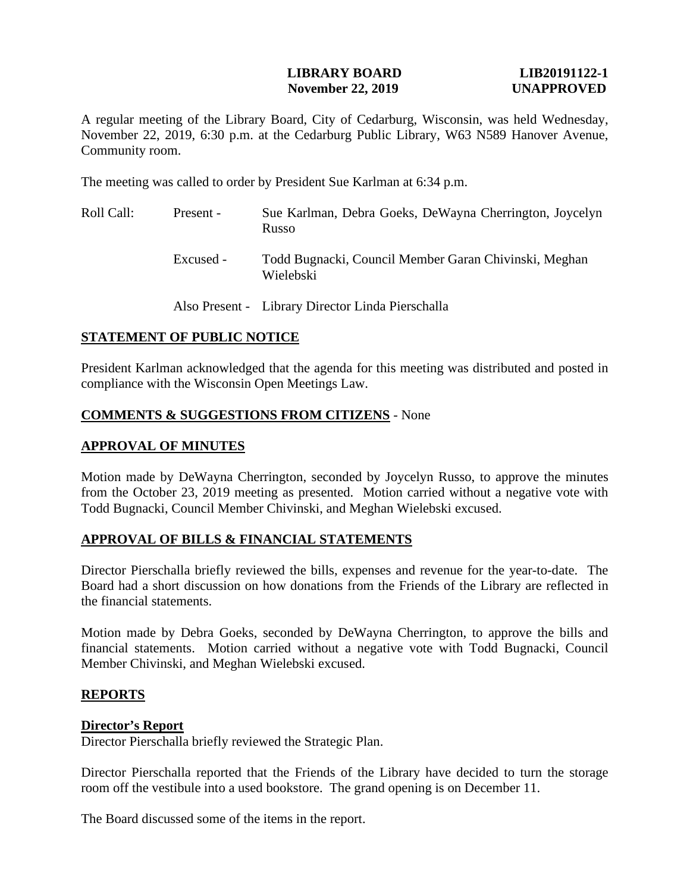## **LIBRARY BOARD LIB20191122-1 November 22, 2019 UNAPPROVED**

A regular meeting of the Library Board, City of Cedarburg, Wisconsin, was held Wednesday, November 22, 2019, 6:30 p.m. at the Cedarburg Public Library, W63 N589 Hanover Avenue, Community room.

The meeting was called to order by President Sue Karlman at 6:34 p.m.

| Roll Call: | Present - | Sue Karlman, Debra Goeks, DeWayna Cherrington, Joycelyn<br>Russo   |
|------------|-----------|--------------------------------------------------------------------|
|            | Excused - | Todd Bugnacki, Council Member Garan Chivinski, Meghan<br>Wielebski |
|            |           | Also Present - Library Director Linda Pierschalla                  |

# **STATEMENT OF PUBLIC NOTICE**

President Karlman acknowledged that the agenda for this meeting was distributed and posted in compliance with the Wisconsin Open Meetings Law.

# **COMMENTS & SUGGESTIONS FROM CITIZENS** - None

# **APPROVAL OF MINUTES**

Motion made by DeWayna Cherrington, seconded by Joycelyn Russo, to approve the minutes from the October 23, 2019 meeting as presented. Motion carried without a negative vote with Todd Bugnacki, Council Member Chivinski, and Meghan Wielebski excused.

# **APPROVAL OF BILLS & FINANCIAL STATEMENTS**

Director Pierschalla briefly reviewed the bills, expenses and revenue for the year-to-date. The Board had a short discussion on how donations from the Friends of the Library are reflected in the financial statements.

Motion made by Debra Goeks, seconded by DeWayna Cherrington, to approve the bills and financial statements. Motion carried without a negative vote with Todd Bugnacki, Council Member Chivinski, and Meghan Wielebski excused.

# **REPORTS**

## **Director's Report**

Director Pierschalla briefly reviewed the Strategic Plan.

Director Pierschalla reported that the Friends of the Library have decided to turn the storage room off the vestibule into a used bookstore. The grand opening is on December 11.

The Board discussed some of the items in the report.